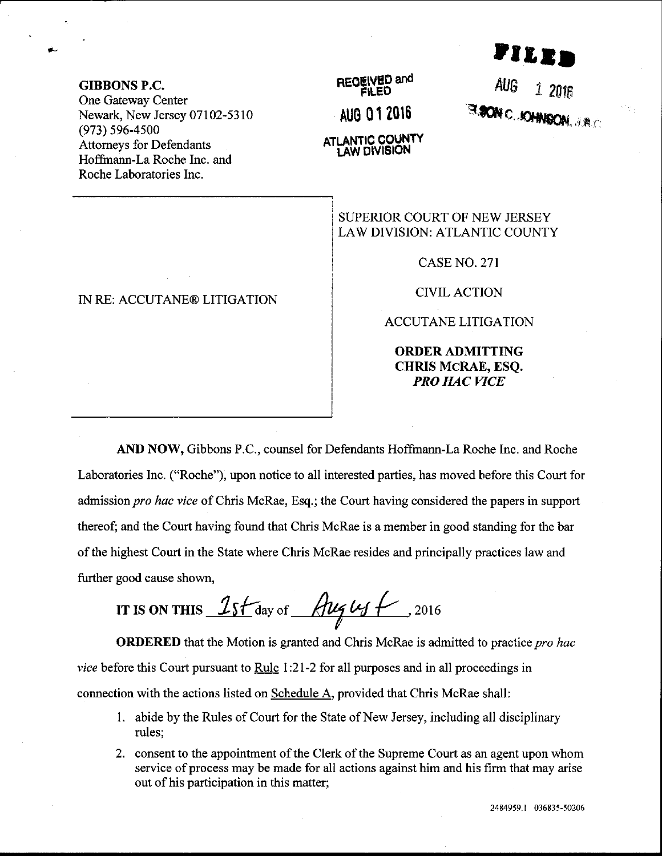## ,<br>Viled

GIBBONS P.C.

One Gateway Center Newark, New Jersey 07102-5310 (973) s96-4500 Attomeys for Defendants Hoffrnann-La Roche Inc. and Roche Laboratories Inc-

## IN RE: ACCUTANE@ LITIGATION

RECEIVED and AUo 01 ?010 **ATLANTIC COUNTY** 

 $A \cup G$  1 2016 c,

SUPERIOR COURT OF NEW JERSEY LAW DIVISION: ATLANTIC COUNTY

CASE NO. 27I

CIVILACTION

ACCUTANE LITIGATION

ORDERADMITTING CHRIS MCRAE, ESQ. PRO HAC VICE

AND NOW, Gibbons P.C., counsel for Defendants Hoffmann-La Roche Inc. and Roche Laboratories Inc. ("Roche"), upon notice to all interested parties, has moved before this Court for admission *pro hac vice* of Chris McRae, Esq.; the Court having considered the papers in support thereof; and the Court having found that Chris McRae is a member in good standing for the bar of the highest Court in the State where Chris McRae resides and principally practices law and further good cause shown,

IT IS ON THIS  $1s$  f day of  $\frac{h\nu_{\mathcal{J}}\nu_{\mathcal{J}}}{\mu_{\mathcal{J}}}$  . 2016

**ORDERED** that the Motion is granted and Chris McRae is admitted to practice pro hac vice before this Court pursuant to Rule 1:21-2 for all purposes and in all proceedings in connection with the actions listed on Schedule A, provided that Chris McRae shall:

- <sup>1</sup>. abide by the Rules of Court for the State of New Jersey, including all disciplinary rules;
- 2. consent to the appointment of the Clerk of the Supreme Court as an agent upon whom service of process may be made for all actions against him and his firm that may arise out of his participation in this matter;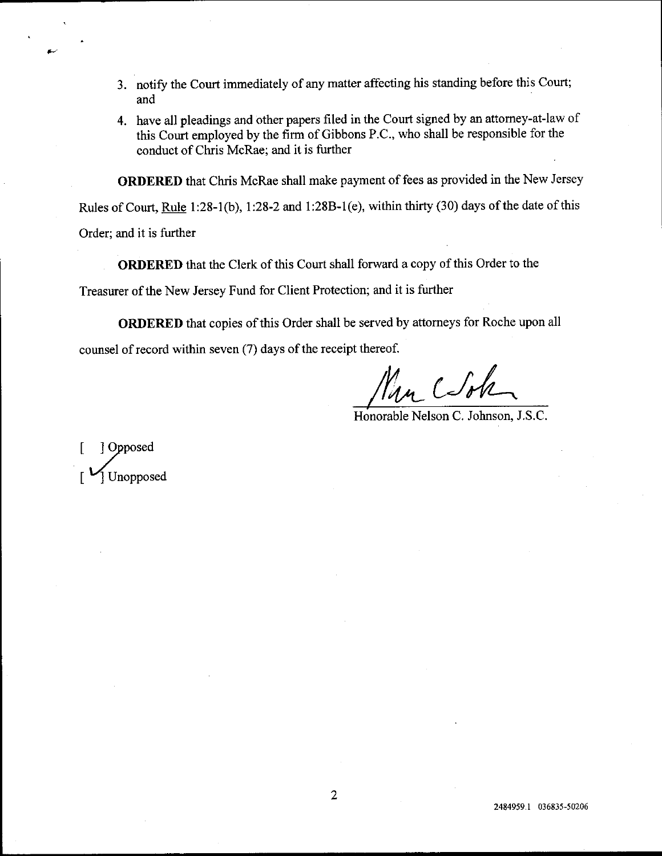- and 3. notify the Court immediately of any matter affecting his standing before this Court;
- 4. have all pleadings and other papers filed in the Court signed by an attorney-at-law of this Court employed by the firm of Gibbons P.C., who shall be responsible for the conduct of Chris McRae; and it is firther

ORDERED that Chris McRae shall make payment of fees as provided in the New Jersey

Rules of Court, Rule 1:28-1(b), 1:28-2 and 1:28B-1(e), within thirty (30) days of the date of this

Order; and it is further

ORDERED that the Clerk of this Court shall forward a copy of this Order to the

Treasurer of the New Jersey Fund for Client Protection; and it is further

ORDERED that copies of this Order shall be served by attomeys for Roche upon all counsel of record within seven (7) days of the receipt thereof.

 $C$ sh

Honorable Nelson C. Johnson, J.S.C.

1 Opposed **Unopposed**